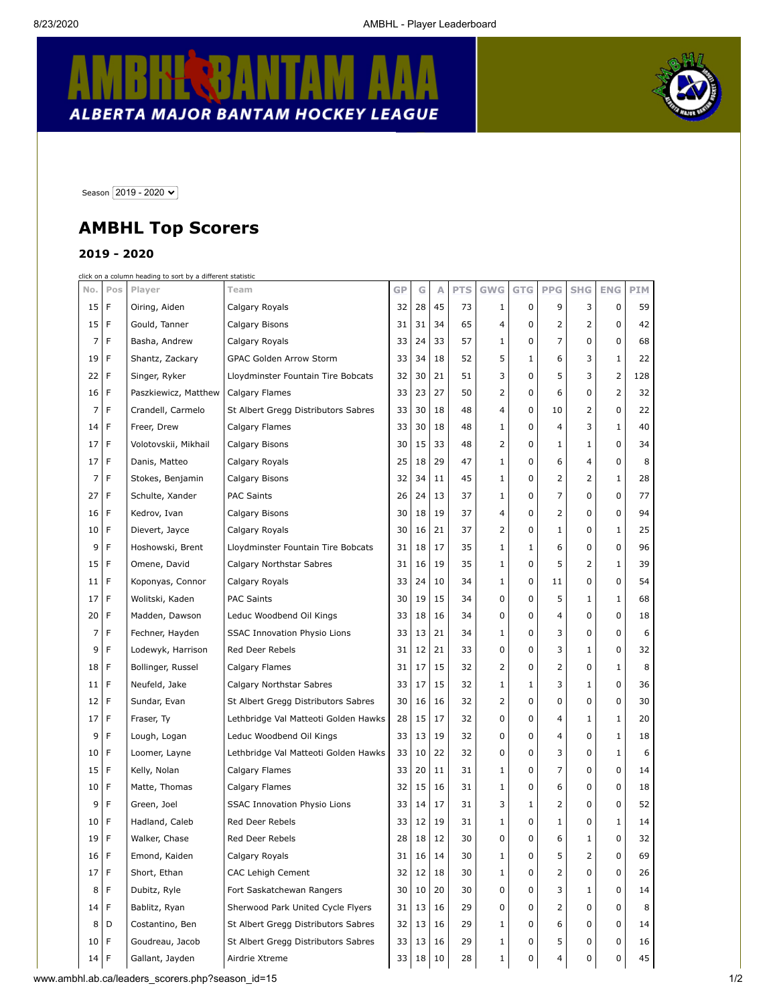Ť

## **KERBANTAM** B ALBERTA MAJOR BANTAM HOCKEY LEAGUE



Season 2019 - 2020 V

## **AMBHL Top Scorers**

## **2019 - 2020**

click on a column heading to sort by a different statistic

| No.             | Pos         | Player               | Team                                 | GP | G  | A  | <b>PTS</b> | <b>GWG</b>     | <b>GTG</b> | <b>PPG</b>   | <b>SHG</b>   | <b>ENG</b>   | <b>PIM</b> |
|-----------------|-------------|----------------------|--------------------------------------|----|----|----|------------|----------------|------------|--------------|--------------|--------------|------------|
| 15              | F           | Oiring, Aiden        | Calgary Royals                       | 32 | 28 | 45 | 73         | $\mathbf{1}$   | 0          | 9            | 3            | 0            | 59         |
| 15              | F           | Gould, Tanner        | Calgary Bisons                       | 31 | 31 | 34 | 65         | 4              | 0          | 2            | 2            | 0            | 42         |
| 7               | F           | Basha, Andrew        | Calgary Royals                       | 33 | 24 | 33 | 57         | 1              | 0          | 7            | 0            | 0            | 68         |
| 19              | F           | Shantz, Zackary      | GPAC Golden Arrow Storm              | 33 | 34 | 18 | 52         | 5              | 1          | 6            | 3            | 1            | 22         |
| 22              | F           | Singer, Ryker        | Lloydminster Fountain Tire Bobcats   | 32 | 30 | 21 | 51         | 3              | 0          | 5            | 3            | 2            | 128        |
| 16              | F           | Paszkiewicz, Matthew | Calgary Flames                       | 33 | 23 | 27 | 50         | 2              | 0          | 6            | 0            | 2            | 32         |
| 7               | F           | Crandell, Carmelo    | St Albert Gregg Distributors Sabres  | 33 | 30 | 18 | 48         | 4              | 0          | 10           | 2            | 0            | 22         |
| 14              | F           | Freer, Drew          | Calgary Flames                       | 33 | 30 | 18 | 48         | 1              | 0          | 4            | 3            | $\mathbf{1}$ | 40         |
| 17              | F           | Volotovskii, Mikhail | Calgary Bisons                       | 30 | 15 | 33 | 48         | $\overline{2}$ | 0          | 1            | $\mathbf{1}$ | 0            | 34         |
| 17              | F           | Danis, Matteo        | Calgary Royals                       | 25 | 18 | 29 | 47         | 1              | 0          | 6            | 4            | 0            | 8          |
| 7               | F           | Stokes, Benjamin     | Calgary Bisons                       | 32 | 34 | 11 | 45         | 1              | 0          | 2            | 2            | 1            | 28         |
| 27              | F           | Schulte, Xander      | <b>PAC Saints</b>                    | 26 | 24 | 13 | 37         | $\mathbf{1}$   | 0          | 7            | 0            | 0            | 77         |
| 16              | F           | Kedrov, Ivan         | Calgary Bisons                       | 30 | 18 | 19 | 37         | 4              | 0          | 2            | 0            | 0            | 94         |
| 10              | F           | Dievert, Jayce       | Calgary Royals                       | 30 | 16 | 21 | 37         | 2              | 0          | $\mathbf{1}$ | 0            | 1            | 25         |
| 9               | F           | Hoshowski, Brent     | Lloydminster Fountain Tire Bobcats   | 31 | 18 | 17 | 35         | 1              | 1          | 6            | 0            | 0            | 96         |
| 15              | F           | Omene, David         | Calgary Northstar Sabres             | 31 | 16 | 19 | 35         | $\mathbf{1}$   | 0          | 5            | 2            | 1            | 39         |
| 11              | F           | Koponyas, Connor     | Calgary Royals                       | 33 | 24 | 10 | 34         | 1              | 0          | 11           | 0            | 0            | 54         |
| 17              | F           | Wolitski, Kaden      | <b>PAC Saints</b>                    | 30 | 19 | 15 | 34         | 0              | 0          | 5            | 1            | 1            | 68         |
| 20              | F           | Madden, Dawson       | Leduc Woodbend Oil Kings             | 33 | 18 | 16 | 34         | 0              | 0          | 4            | 0            | 0            | 18         |
| 7               | F           | Fechner, Hayden      | <b>SSAC Innovation Physio Lions</b>  | 33 | 13 | 21 | 34         | $\mathbf{1}$   | 0          | 3            | 0            | 0            | 6          |
| 9               | $\mathsf F$ | Lodewyk, Harrison    | Red Deer Rebels                      | 31 | 12 | 21 | 33         | 0              | 0          | 3            | 1            | 0            | 32         |
| 18              | F           | Bollinger, Russel    | Calgary Flames                       | 31 | 17 | 15 | 32         | 2              | 0          | 2            | 0            | 1            | 8          |
| 11              | F           | Neufeld, Jake        | Calgary Northstar Sabres             | 33 | 17 | 15 | 32         | 1              | 1          | 3            | 1            | 0            | 36         |
| 12              | F           | Sundar, Evan         | St Albert Gregg Distributors Sabres  | 30 | 16 | 16 | 32         | 2              | 0          | 0            | 0            | 0            | 30         |
| 17              | F           | Fraser, Ty           | Lethbridge Val Matteoti Golden Hawks | 28 | 15 | 17 | 32         | 0              | 0          | 4            | 1            | 1            | 20         |
| 9               | F           | Lough, Logan         | Leduc Woodbend Oil Kings             | 33 | 13 | 19 | 32         | 0              | 0          | 4            | 0            | 1            | 18         |
| 10              | F           | Loomer, Layne        | Lethbridge Val Matteoti Golden Hawks | 33 | 10 | 22 | 32         | 0              | 0          | 3            | 0            | 1            | 6          |
| 15              | F           | Kelly, Nolan         | Calgary Flames                       | 33 | 20 | 11 | 31         | 1              | 0          | 7            | 0            | 0            | 14         |
| 10              | F           | Matte, Thomas        | Calgary Flames                       | 32 | 15 | 16 | 31         | 1              | 0          | 6            | 0            | 0            | 18         |
| 9               | F           | Green, Joel          | <b>SSAC Innovation Physio Lions</b>  | 33 | 14 | 17 | 31         | 3              | 1          | 2            | 0            | 0            | 52         |
| 10              | F           | Hadland, Caleb       | <b>Red Deer Rebels</b>               | 33 | 12 | 19 | 31         | 1              | 0          | 1            | 0            | 1            | 14         |
| 19              | F           | Walker, Chase        | Red Deer Rebels                      | 28 | 18 | 12 | 30         | 0              | 0          | 6            | 1            | 0            | 32         |
| 16              |             | Emond, Kaiden        | Calgary Royals                       | 31 | 16 | 14 | 30         | ı              | U          | 5            | 2            | U            | 69         |
| 17 <sup>1</sup> | F           | Short, Ethan         | <b>CAC Lehigh Cement</b>             | 32 | 12 | 18 | 30         | 1              | 0          | 2            | 0            | 0            | 26         |
| 8               | F           | Dubitz, Ryle         | Fort Saskatchewan Rangers            | 30 | 10 | 20 | 30         | 0              | 0          | 3            | 1            | 0            | 14         |
| 14 F            |             | Bablitz, Ryan        | Sherwood Park United Cycle Flyers    | 31 | 13 | 16 | 29         | 0              | 0          | 2            | 0            | 0            | 8          |
| 8               | D           | Costantino, Ben      | St Albert Gregg Distributors Sabres  | 32 | 13 | 16 | 29         | 1              | 0          | 6            | 0            | 0            | 14         |
| 10 <sup>1</sup> | F           | Goudreau, Jacob      | St Albert Gregg Distributors Sabres  | 33 | 13 | 16 | 29         | 1              | 0          | 5            | 0            | 0            | 16         |
| 14 F            |             | Gallant, Jayden      | Airdrie Xtreme                       | 33 | 18 | 10 | 28         | $\mathbf{1}$   | 0          | 4            | 0            | 0            | 45         |

www.ambhl.ab.ca/leaders\_scorers.php?season\_id=15 1/2